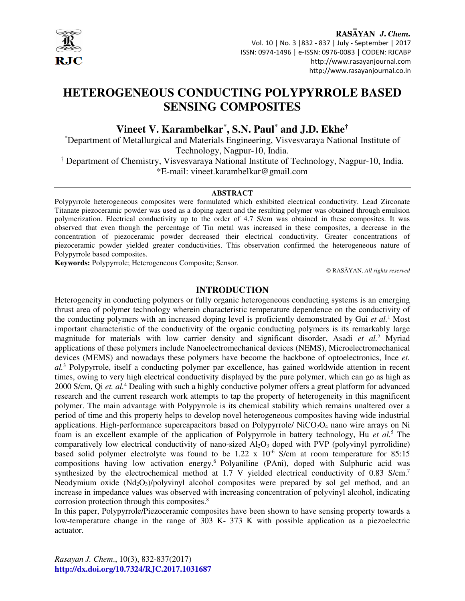

RASAYAN J. Chem. Vol. 10 | No. 3 |832 - 837 | July - September | 2017 ISSN: 0974-1496 | e-ISSN: 0976-0083 | CODEN: RJCABP http://www.rasayanjournal.com http://www.rasayanjournal.co.in

# **HETEROGENEOUS CONDUCTING POLYPYRROLE BASED SENSING COMPOSITES**

**Vineet V. Karambelkar\* , S.N. Paul\* and J.D. Ekhe†**

\*Department of Metallurgical and Materials Engineering, Visvesvaraya National Institute of Technology, Nagpur-10, India.

† Department of Chemistry, Visvesvaraya National Institute of Technology, Nagpur-10, India. \*E-mail: vineet.karambelkar@gmail.com

## **ABSTRACT**

Polypyrrole heterogeneous composites were formulated which exhibited electrical conductivity. Lead Zirconate Titanate piezoceramic powder was used as a doping agent and the resulting polymer was obtained through emulsion polymerization. Electrical conductivity up to the order of 4.7 S/cm was obtained in these composites. It was observed that even though the percentage of Tin metal was increased in these composites, a decrease in the concentration of piezoceramic powder decreased their electrical conductivity. Greater concentrations of piezoceramic powder yielded greater conductivities. This observation confirmed the heterogeneous nature of Polypyrrole based composites.

**Keywords:** Polypyrrole; Heterogeneous Composite; Sensor.

© RASĀYAN. *All rights reserved*

## **INTRODUCTION**

Heterogeneity in conducting polymers or fully organic heterogeneous conducting systems is an emerging thrust area of polymer technology wherein characteristic temperature dependence on the conductivity of the conducting polymers with an increased doping level is proficiently demonstrated by Gui *et al.*<sup>1</sup> Most important characteristic of the conductivity of the organic conducting polymers is its remarkably large magnitude for materials with low carrier density and significant disorder, Asadi *et al.*<sup>2</sup> Myriad applications of these polymers include Nanoelectromechanical devices (NEMS), Microelectromechanical devices (MEMS) and nowadays these polymers have become the backbone of optoelectronics, Ince *et. al.*<sup>3</sup> Polypyrrole, itself a conducting polymer par excellence, has gained worldwide attention in recent times, owing to very high electrical conductivity displayed by the pure polymer, which can go as high as 2000 S/cm, Qi et. al.<sup>4</sup> Dealing with such a highly conductive polymer offers a great platform for advanced research and the current research work attempts to tap the property of heterogeneity in this magnificent polymer. The main advantage with Polypyrrole is its chemical stability which remains unaltered over a period of time and this property helps to develop novel heterogeneous composites having wide industrial applications. High-performance supercapacitors based on Polypyrrole/  $NiCO<sub>2</sub>O<sub>4</sub>$  nano wire arrays on Ni foam is an excellent example of the application of Polypyrrole in battery technology, Hu *et al.*<sup>5</sup> The comparatively low electrical conductivity of nano-sized  $A_2O_3$  doped with PVP (polyvinyl pyrrolidine) based solid polymer electrolyte was found to be  $1.22 \times 10^{-6}$  S/cm at room temperature for 85:15 compositions having low activation energy.<sup>6</sup> Polyaniline (PAni), doped with Sulphuric acid was synthesized by the electrochemical method at 1.7 V yielded electrical conductivity of 0.83 S/cm.<sup>7</sup> Neodymium oxide  $(Nd_2O_3)/polyviny$  alcohol composites were prepared by sol gel method, and an increase in impedance values was observed with increasing concentration of polyvinyl alcohol, indicating corrosion protection through this composites.<sup>8</sup>

In this paper, Polypyrrole/Piezoceramic composites have been shown to have sensing property towards a low-temperature change in the range of 303 K- 373 K with possible application as a piezoelectric actuator.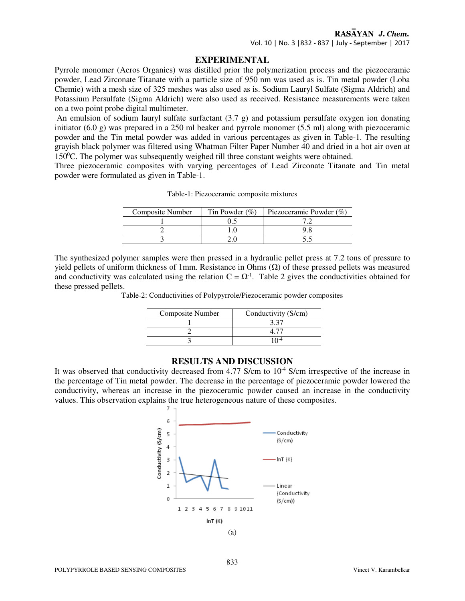## **EXPERIMENTAL**

Pyrrole monomer (Acros Organics) was distilled prior the polymerization process and the piezoceramic powder, Lead Zirconate Titanate with a particle size of 950 nm was used as is. Tin metal powder (Loba Chemie) with a mesh size of 325 meshes was also used as is. Sodium Lauryl Sulfate (Sigma Aldrich) and Potassium Persulfate (Sigma Aldrich) were also used as received. Resistance measurements were taken on a two point probe digital multimeter.

 An emulsion of sodium lauryl sulfate surfactant (3.7 g) and potassium persulfate oxygen ion donating initiator  $(6.0 \text{ g})$  was prepared in a 250 ml beaker and pyrrole monomer  $(5.5 \text{ ml})$  along with piezoceramic powder and the Tin metal powder was added in various percentages as given in Table-1. The resulting grayish black polymer was filtered using Whatman Filter Paper Number 40 and dried in a hot air oven at 150<sup>o</sup>C. The polymer was subsequently weighed till three constant weights were obtained.

Three piezoceramic composites with varying percentages of Lead Zirconate Titanate and Tin metal powder were formulated as given in Table-1.

| Composite Number | Tin Powder $(\% )$ | Piezoceramic Powder (%) |
|------------------|--------------------|-------------------------|
|                  |                    |                         |
|                  |                    |                         |
|                  |                    |                         |

Table-1: Piezoceramic composite mixtures

The synthesized polymer samples were then pressed in a hydraulic pellet press at 7.2 tons of pressure to yield pellets of uniform thickness of 1mm. Resistance in Ohms  $(Ω)$  of these pressed pellets was measured and conductivity was calculated using the relation  $C = \Omega^{-1}$ . Table 2 gives the conductivities obtained for these pressed pellets.

Table-2: Conductivities of Polypyrrole/Piezoceramic powder composites

| Composite Number | Conductivity (S/cm) |
|------------------|---------------------|
|                  |                     |
|                  |                     |
|                  |                     |

#### **RESULTS AND DISCUSSION**

It was observed that conductivity decreased from 4.77 S/cm to 10<sup>-4</sup> S/cm irrespective of the increase in the percentage of Tin metal powder. The decrease in the percentage of piezoceramic powder lowered the conductivity, whereas an increase in the piezoceramic powder caused an increase in the conductivity values. This observation explains the true heterogeneous nature of these composites.

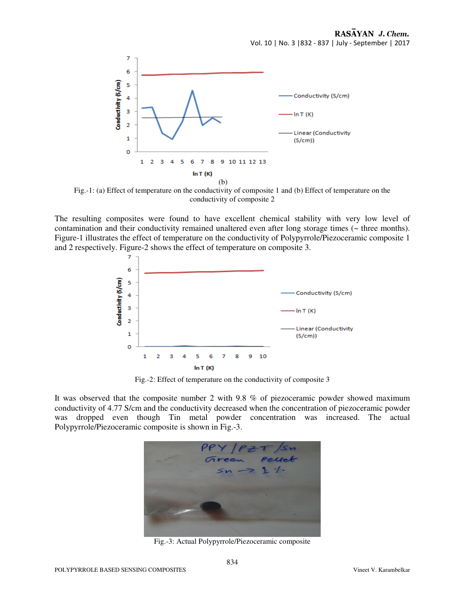Vol. 10 | No. 3 |832 - 837 | July - September | 2017



Fig.-1: (a) Effect of temperature on the conductivity of composite 1 and (b) Effect of temperature on the conductivity of composite 2

The resulting composites were found to have excellent chemical stability with very low level of contamination and their conductivity remained unaltered even after long storage times (~ three months). Figure-1 illustrates the effect of temperature on the conductivity of Polypyrrole/Piezoceramic composite 1 and 2 respectively. Figure-2 shows the effect of temperature on composite 3.



Fig.-2: Effect of temperature on the conductivity of composite 3

It was observed that the composite number 2 with 9.8 % of piezoceramic powder showed maximum conductivity of 4.77 S/cm and the conductivity decreased when the concentration of piezoceramic powder was dropped even though Tin metal powder concentration was increased. The actual Polypyrrole/Piezoceramic composite is shown in Fig.-3.



Fig.-3: Actual Polypyrrole/Piezoceramic composite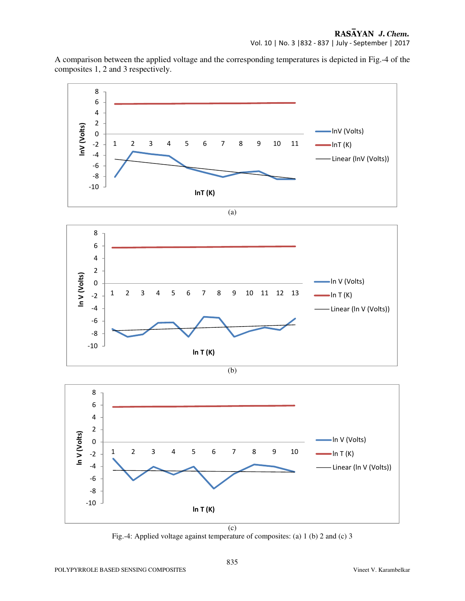Vol. 10 | No. 3 |832 - 837 | July - September | 2017

A comparison between the applied voltage and the corresponding temperatures is depicted in Fig.-4 of the composites 1, 2 and 3 respectively.



Fig.-4: Applied voltage against temperature of composites: (a) 1 (b) 2 and (c) 3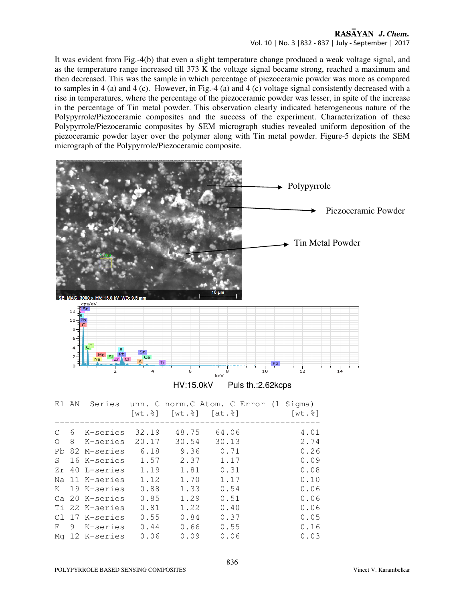## RASAYAN J. Chem. Vol. 10 | No. 3 |832 - 837 | July - September | 2017

It was evident from Fig.-4(b) that even a slight temperature change produced a weak voltage signal, and as the temperature range increased till 373 K the voltage signal became strong, reached a maximum and then decreased. This was the sample in which percentage of piezoceramic powder was more as compared to samples in 4 (a) and 4 (c). However, in Fig.-4 (a) and 4 (c) voltage signal consistently decreased with a rise in temperatures, where the percentage of the piezoceramic powder was lesser, in spite of the increase in the percentage of Tin metal powder. This observation clearly indicated heterogeneous nature of the Polypyrrole/Piezoceramic composites and the success of the experiment. Characterization of these Polypyrrole/Piezoceramic composites by SEM micrograph studies revealed uniform deposition of the piezoceramic powder layer over the polymer along with Tin metal powder. Figure-5 depicts the SEM micrograph of the Polypyrrole/Piezoceramic composite.



| El AN                                                      |                                                                                                                                                                           |                                                                                        |                                                                                        | Series unn. C norm. C Atom. C Error (1 Sigma)<br>[wt.%] [wt.%] [at.%]                  | $[wt.\$                                                                              |
|------------------------------------------------------------|---------------------------------------------------------------------------------------------------------------------------------------------------------------------------|----------------------------------------------------------------------------------------|----------------------------------------------------------------------------------------|----------------------------------------------------------------------------------------|--------------------------------------------------------------------------------------|
| $\mathcal{C}$<br>$\bigcirc$<br>Pb.<br>S.<br>Zr<br>K<br>C1. | 6 K-series<br>8 K-series<br>82 M-series<br>16 K-series<br>40 L-series<br>Na 11 K-series<br>19 K-series<br>Ca 20 K-series<br>Ti 22 K-series<br>17 K-series<br>F 9 K-series | 32.19<br>20.17<br>6.18<br>1.57<br>1.19<br>1.12<br>0.88<br>0.85<br>0.81<br>0.55<br>0.44 | 48.75<br>30.54<br>9.36<br>2.37<br>1.81<br>1.70<br>1.33<br>1.29<br>1.22<br>0.84<br>0.66 | 64.06<br>30.13<br>0.71<br>1.17<br>0.31<br>1.17<br>0.54<br>0.51<br>0.40<br>0.37<br>0.55 | 4.01<br>2.74<br>0.26<br>0.09<br>0.08<br>0.10<br>0.06<br>0.06<br>0.06<br>0.05<br>0.16 |
|                                                            | Mg 12 K-series                                                                                                                                                            | 0.06                                                                                   | 0.09                                                                                   | 0.06                                                                                   | 0.03                                                                                 |